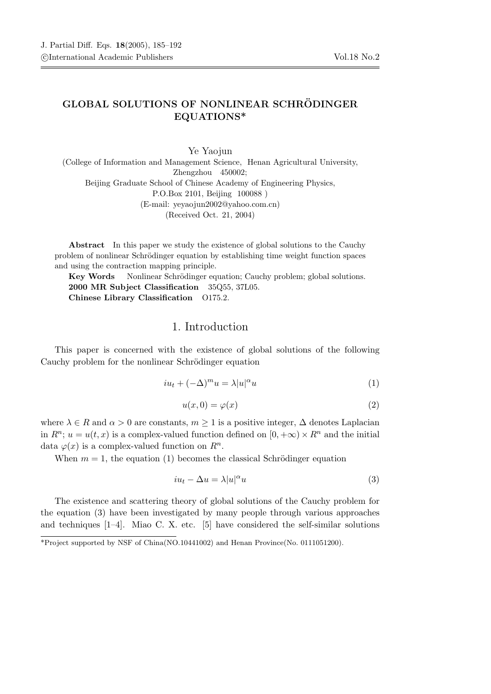## GLOBAL SOLUTIONS OF NONLINEAR SCHRÖDINGER EQUATIONS\*

Ye Yaojun (College of Information and Management Science, Henan Agricultural University, Zhengzhou 450002; Beijing Graduate School of Chinese Academy of Engineering Physics, P.O.Box 2101, Beijing 100088 ) (E-mail: yeyaojun2002@yahoo.com.cn) (Received Oct. 21, 2004)

Abstract In this paper we study the existence of global solutions to the Cauchy problem of nonlinear Schrödinger equation by establishing time weight function spaces and using the contraction mapping principle.

Key Words Nonlinear Schrödinger equation; Cauchy problem; global solutions. 2000 MR Subject Classification 35Q55, 37L05. Chinese Library Classification O175.2.

## 1. Introduction

This paper is concerned with the existence of global solutions of the following Cauchy problem for the nonlinear Schrödinger equation

$$
iu_t + (-\Delta)^m u = \lambda |u|^\alpha u \tag{1}
$$

$$
u(x,0) = \varphi(x) \tag{2}
$$

where  $\lambda \in R$  and  $\alpha > 0$  are constants,  $m \geq 1$  is a positive integer,  $\Delta$  denotes Laplacian in  $R^n$ ;  $u = u(t, x)$  is a complex-valued function defined on  $[0, +\infty) \times R^n$  and the initial data  $\varphi(x)$  is a complex-valued function on  $R^n$ .

When  $m = 1$ , the equation (1) becomes the classical Schrödinger equation

$$
iu_t - \Delta u = \lambda |u|^\alpha u \tag{3}
$$

The existence and scattering theory of global solutions of the Cauchy problem for the equation (3) have been investigated by many people through various approaches and techniques  $[1-4]$ . Miao C. X. etc.  $[5]$  have considered the self-similar solutions

<sup>\*</sup>Project supported by NSF of China(NO.10441002) and Henan Province(No. 0111051200).